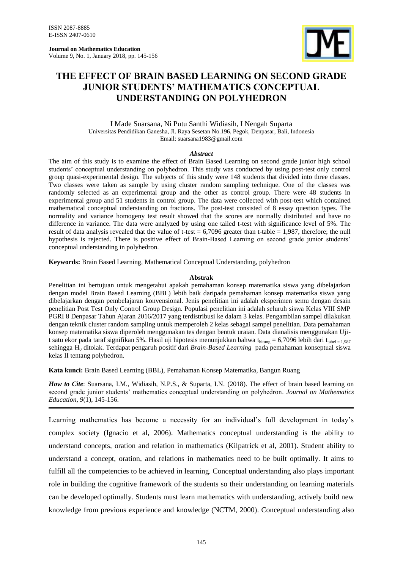**Journal on Mathematics Education** Volume 9, No. 1, January 2018, pp. 145-156



# **THE EFFECT OF BRAIN BASED LEARNING ON SECOND GRADE JUNIOR STUDENTS' MATHEMATICS CONCEPTUAL UNDERSTANDING ON POLYHEDRON**

I Made Suarsana, Ni Putu Santhi Widiasih, I Nengah Suparta Universitas Pendidikan Ganesha, Jl. Raya Sesetan No.196, Pegok, Denpasar, Bali, Indonesia Email: suarsana1983@gmail.com

#### *Abstract*

The aim of this study is to examine the effect of Brain Based Learning on second grade junior high school students" conceptual understanding on polyhedron. This study was conducted by using post-test only control group quasi-experimental design. The subjects of this study were 148 students that divided into three classes. Two classes were taken as sample by using cluster random sampling technique. One of the classes was randomly selected as an experimental group and the other as control group. There were 48 students in experimental group and 51 students in control group. The data were collected with post-test which contained mathematical conceptual understanding on fractions. The post-test consisted of 8 essay question types. The normality and variance homogeny test result showed that the scores are normally distributed and have no difference in variance. The data were analyzed by using one tailed t-test with significance level of 5%. The result of data analysis revealed that the value of t-test  $= 6,7096$  greater than t-table  $= 1,987$ , therefore; the null hypothesis is rejected. There is positive effect of Brain-Based Learning on second grade junior students' conceptual understanding in polyhedron.

**Keywords:** Brain Based Learning, Mathematical Conceptual Understanding, polyhedron

#### **Abstrak**

Penelitian ini bertujuan untuk mengetahui apakah pemahaman konsep matematika siswa yang dibelajarkan dengan model Brain Based Learning (BBL) lebih baik daripada pemahaman konsep matematika siswa yang dibelajarkan dengan pembelajaran konvensional. Jenis penelitian ini adalah eksperimen semu dengan desain penelitian Post Test Only Control Group Design. Populasi penelitian ini adalah seluruh siswa Kelas VIII SMP PGRI 8 Denpasar Tahun Ajaran 2016/2017 yang terdistribusi ke dalam 3 kelas. Pengambilan sampel dilakukan dengan teknik cluster random sampling untuk memperoleh 2 kelas sebagai sampel penelitian. Data pemahaman konsep matematika siswa diperoleh menggunakan tes dengan bentuk uraian. Data dianalisis menggunakan Ujit satu ekor pada taraf signifikan 5%. Hasil uji hipotesis menunjukkan bahwa thitung = 6,7096 lebih dari ttabel = 1,987 sehingga H<sup>0</sup> ditolak. Terdapat pengaruh positif dari *Brain-Based Learning* pada pemahaman konseptual siswa kelas II tentang polyhedron.

**Kata kunci:** Brain Based Learning (BBL), Pemahaman Konsep Matematika, Bangun Ruang

*How to Cite*: Suarsana, I.M., Widiasih, N.P.S., & Suparta, I.N. (2018). The effect of brain based learning on second grade junior students" mathematics conceptual understanding on polyhedron. *Journal on Mathematics Education, 9*(1), 145-156.

Learning mathematics has become a necessity for an individual's full development in today's complex society (Ignacio et al, 2006). Mathematics conceptual understanding is the ability to understand concepts, oration and relation in mathematics (Kilpatrick et al, 2001). Student ability to understand a concept, oration, and relations in mathematics need to be built optimally. It aims to fulfill all the competencies to be achieved in learning. Conceptual understanding also plays important role in building the cognitive framework of the students so their understanding on learning materials can be developed optimally. Students must learn mathematics with understanding, actively build new knowledge from previous experience and knowledge (NCTM, 2000). Conceptual understanding also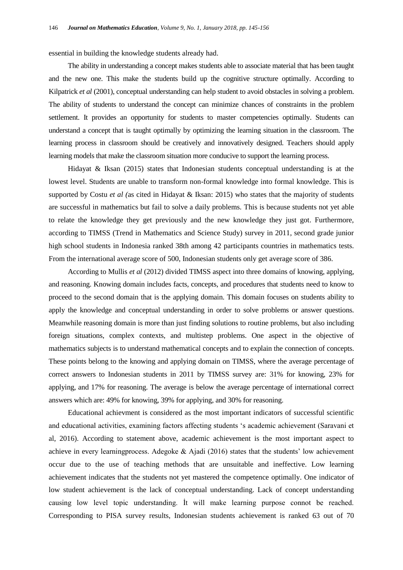essential in building the knowledge students already had.

The ability in understanding a concept makes students able to associate material that has been taught and the new one. This make the students build up the cognitive structure optimally. According to Kilpatrick *et al* (2001), conceptual understanding can help student to avoid obstacles in solving a problem. The ability of students to understand the concept can minimize chances of constraints in the problem settlement. It provides an opportunity for students to master competencies optimally. Students can understand a concept that is taught optimally by optimizing the learning situation in the classroom. The learning process in classroom should be creatively and innovatively designed. Teachers should apply learning models that make the classroom situation more conducive to support the learning process.

Hidayat & Iksan (2015) states that Indonesian students conceptual understanding is at the lowest level. Students are unable to transform non-formal knowledge into formal knowledge. This is supported by Costu *et al (*as cited in Hidayat & Iksan: 2015) who states that the majority of students are successful in mathematics but fail to solve a daily problems. This is because students not yet able to relate the knowledge they get previously and the new knowledge they just got. Furthermore, according to TIMSS (Trend in Mathematics and Science Study) survey in 2011, second grade junior high school students in Indonesia ranked 38th among 42 participants countries in mathematics tests. From the international average score of 500, Indonesian students only get average score of 386.

According to Mullis *et al* (2012) divided TIMSS aspect into three domains of knowing, applying, and reasoning. Knowing domain includes facts, concepts, and procedures that students need to know to proceed to the second domain that is the applying domain. This domain focuses on students ability to apply the knowledge and conceptual understanding in order to solve problems or answer questions. Meanwhile reasoning domain is more than just finding solutions to routine problems, but also including foreign situations, complex contexts, and multistep problems. One aspect in the objective of mathematics subjects is to understand mathematical concepts and to explain the connection of concepts. These points belong to the knowing and applying domain on TIMSS, where the average percentage of correct answers to Indonesian students in 2011 by TIMSS survey are: 31% for knowing, 23% for applying, and 17% for reasoning. The average is below the average percentage of international correct answers which are: 49% for knowing, 39% for applying, and 30% for reasoning.

Educational achievment is considered as the most important indicators of successful scientific and educational activities, examining factors affecting students "s academic achievement (Saravani et al, 2016). According to statement above, academic achievement is the most important aspect to achieve in every learningprocess. Adegoke  $\&$  Ajadi (2016) states that the students' low achievement occur due to the use of teaching methods that are unsuitable and ineffective. Low learning achievement indicates that the students not yet mastered the competence optimally. One indicator of low student achievement is the lack of conceptual understanding. Lack of concept understanding causing low level topic understanding. İt will make learning purpose connot be reached. Corresponding to PISA survey results, Indonesian students achievement is ranked 63 out of 70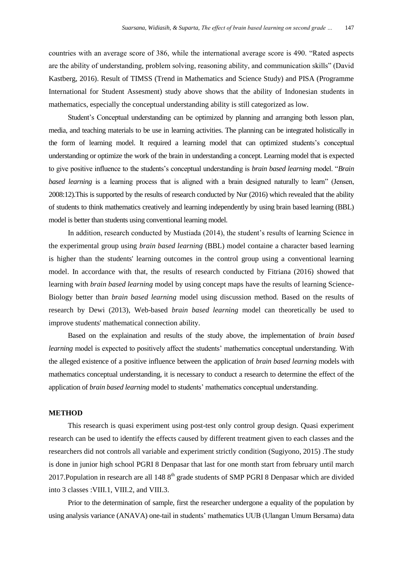countries with an average score of 386, while the international average score is 490. "Rated aspects are the ability of understanding, problem solving, reasoning ability, and communication skills" (David Kastberg, 2016). Result of TIMSS (Trend in Mathematics and Science Study) and PISA (Programme International for Student Assesment) study above shows that the ability of Indonesian students in mathematics, especially the conceptual understanding ability is still categorized as low.

Student"s Conceptual understanding can be optimized by planning and arranging both lesson plan, media, and teaching materials to be use in learning activities. The planning can be integrated holistically in the form of learning model. It required a learning model that can optimized students"s conceptual understanding or optimize the work of the brain in understanding a concept. Learning model that is expected to give positive influence to the students"s conceptual understanding is *brain based learning* model. "*Brain based learning* is a learning process that is aligned with a brain designed naturally to learn" (Jensen, 2008:12).This is supported by the results of research conducted by Nur (2016) which revealed that the ability of students to think mathematics creatively and learning independently by using brain based learning (BBL) model is better than students using conventional learning model.

In addition, research conducted by Mustiada (2014), the student's results of learning Science in the experimental group using *brain based learning* (BBL) model containe a character based learning is higher than the students' learning outcomes in the control group using a conventional learning model. In accordance with that, the results of research conducted by Fitriana (2016) showed that learning with *brain based learning* model by using concept maps have the results of learning Science-Biology better than *brain based learning* model using discussion method. Based on the results of research by Dewi (2013), Web-based *brain based learning* model can theoretically be used to improve students' mathematical connection ability.

Based on the explaination and results of the study above, the implementation of *brain based learning* model is expected to positively affect the students' mathematics conceptual understanding. With the alleged existence of a positive influence between the application of *brain based learning* models with mathematics conceptual understanding, it is necessary to conduct a research to determine the effect of the application of *brain based learning* model to students" mathematics conceptual understanding.

### **METHOD**

This research is quasi experiment using post-test only control group design. Quasi experiment research can be used to identify the effects caused by different treatment given to each classes and the researchers did not controls all variable and experiment strictly condition (Sugiyono, 2015) .The study is done in junior high school PGRI 8 Denpasar that last for one month start from february until march 2017. Population in research are all  $1488<sup>th</sup>$  grade students of SMP PGRI 8 Denpasar which are divided into 3 classes :VIII.1, VIII.2, and VIII.3.

Prior to the determination of sample, first the researcher undergone a equality of the population by using analysis variance (ANAVA) one-tail in students' mathematics UUB (Ulangan Umum Bersama) data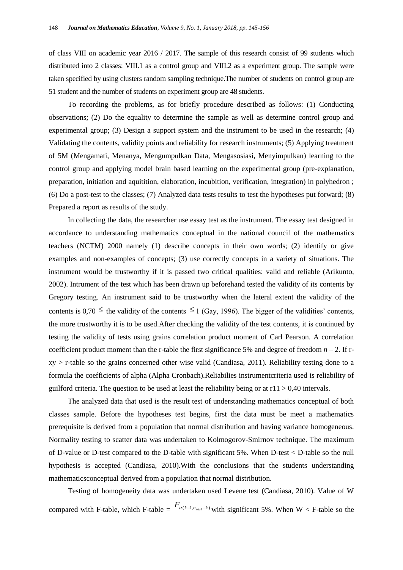of class VIII on academic year 2016 / 2017. The sample of this research consist of 99 students which distributed into 2 classes: VIII.1 as a control group and VIII.2 as a experiment group. The sample were taken specified by using clusters random sampling technique.The number of students on control group are 51 student and the number of students on experiment group are 48 students.

To recording the problems, as for briefly procedure described as follows: (1) Conducting observations; (2) Do the equality to determine the sample as well as determine control group and experimental group; (3) Design a support system and the instrument to be used in the research; (4) Validating the contents, validity points and reliability for research instruments; (5) Applying treatment of 5M (Mengamati, Menanya, Mengumpulkan Data, Mengasosiasi, Menyimpulkan) learning to the control group and applying model brain based learning on the experimental group (pre-explanation, preparation, initiation and aquitition, elaboration, incubition, verification, integration) in polyhedron ; (6) Do a post-test to the classes; (7) Analyzed data tests results to test the hypotheses put forward; (8) Prepared a report as results of the study.

In collecting the data, the researcher use essay test as the instrument. The essay test designed in accordance to understanding mathematics conceptual in the national council of the mathematics teachers (NCTM) 2000 namely (1) describe concepts in their own words; (2) identify or give examples and non-examples of concepts; (3) use correctly concepts in a variety of situations. The instrument would be trustworthy if it is passed two critical qualities: valid and reliable (Arikunto, 2002). Intrument of the test which has been drawn up beforehand tested the validity of its contents by Gregory testing. An instrument said to be trustworthy when the lateral extent the validity of the contents is 0,70  $\leq$  the validity of the contents  $\leq$  1 (Gay, 1996). The bigger of the validities' contents, the more trustworthy it is to be used.After checking the validity of the test contents, it is continued by testing the validity of tests using grains correlation product moment of Carl Pearson. A correlation coefficient product moment than the r-table the first significance 5% and degree of freedom  $n-2$ . If r $xy > r$ -table so the grains concerned other wise valid (Candiasa, 2011). Reliability testing done to a formula the coefficients of alpha (Alpha Cronbach).Reliabilies instrumentcriteria used is reliability of guilford criteria. The question to be used at least the reliability being or at  $r11 > 0.40$  intervals.

The analyzed data that used is the result test of understanding mathematics conceptual of both classes sample. Before the hypotheses test begins, first the data must be meet a mathematics prerequisite is derived from a population that normal distribution and having variance homogeneous. Normality testing to scatter data was undertaken to Kolmogorov-Smirnov technique. The maximum of D-value or D-test compared to the D-table with significant 5%. When D-test < D-table so the null hypothesis is accepted (Candiasa, 2010).With the conclusions that the students understanding mathematicsconceptual derived from a population that normal distribution.

Testing of homogeneity data was undertaken used Levene test (Candiasa, 2010). Value of W compared with F-table, which F-table =  $F_{\alpha(k-1,n_{wall}-k)}$  with significant 5%. When W < F-table so the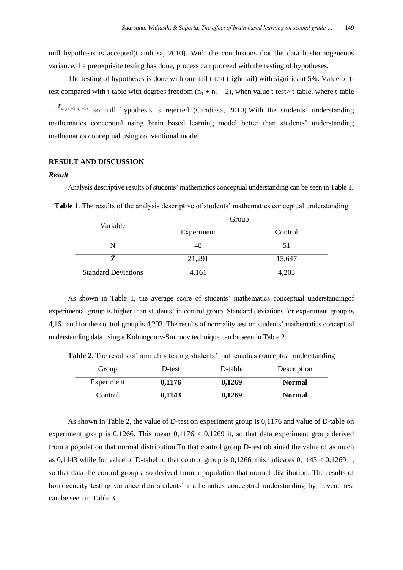null hypothesis is accepted(Candiasa, 2010). With the conclusions that the data hashomogeneous variance.If a prerequisite testing has done, process can proceed with the testing of hypotheses.

The testing of hypotheses is done with one-tail t-test (right tail) with significant 5%. Value of ttest compared with t-table with degrees freedom  $(n_1 + n_2 - 2)$ , when value t-test> t-table, where t-table

 $=$   $t_{\alpha(n_1-1,n_2-1)}$  so null hypothesis is rejected (Candiasa, 2010). With the students' understanding mathematics conceptual using brain based learning model better than students" understanding mathematics conceptual using conventional model.

## **RESULT AND DISCUSSION**

#### *Result*

Analysis descriptive results of students" mathematics conceptual understanding can be seen in Table 1.

Variable Group Experiment Control N 48 51  $\bar{X}$  21,291 15,647 Standard Deviations 4,161 4,203

Table 1. The results of the analysis descriptive of students' mathematics conceptual understanding

As shown in Table 1, the average score of students" mathematics conceptual understandingof experimental group is higher than students" in control group. Standard deviations for experiment group is 4,161 and for the control group is 4,203. The results of normality test on students" mathematics conceptual understanding data using a Kolmogorov-Smirnov technique can be seen in Table 2.

| Group      | D-test | D-table | Description   |
|------------|--------|---------|---------------|
| Experiment | 0,1176 | 0,1269  | <b>Normal</b> |
| Control    | 0,1143 | 0,1269  | <b>Normal</b> |

**Table 2.** The results of normality testing students' mathematics conceptual understanding

As shown in Table 2, the value of D-test on experiment group is 0,1176 and value of D-table on experiment group is 0,1266. This mean  $0,1176 < 0,1269$  it, so that data experiment group derived from a population that normal distribution.To that control group D-test obtained the value of as much as 0,1143 while for value of D-tabel to that control group is 0,1266, this indicates  $0.1143 < 0.1269$  it, so that data the control group also derived from a population that normal distribution. The results of homogeneity testing variance data students' mathematics conceptual understanding by Levene test can be seen in Table 3.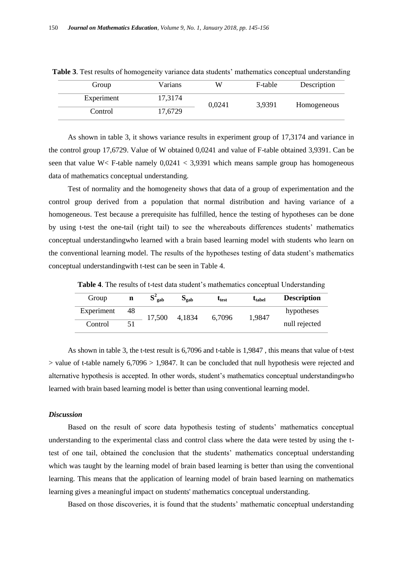| Group      | Varians | W      | F-table | Description |
|------------|---------|--------|---------|-------------|
| Experiment | 17,3174 | 0,0241 |         | Homogeneous |
| Control    | 17,6729 |        | 3,9391  |             |

**Table 3.** Test results of homogeneity variance data students' mathematics conceptual understanding

As shown in table 3, it shows variance results in experiment group of 17,3174 and variance in the control group 17,6729. Value of W obtained 0,0241 and value of F-table obtained 3,9391. Can be seen that value W< F-table namely  $0.0241 < 3.9391$  which means sample group has homogeneous data of mathematics conceptual understanding.

Test of normality and the homogeneity shows that data of a group of experimentation and the control group derived from a population that normal distribution and having variance of a homogeneous. Test because a prerequisite has fulfilled, hence the testing of hypotheses can be done by using t-test the one-tail (right tail) to see the whereabouts differences students" mathematics conceptual understandingwho learned with a brain based learning model with students who learn on the conventional learning model. The results of the hypotheses testing of data student"s mathematics conceptual understandingwith t-test can be seen in Table 4.

Table 4. The results of t-test data student's mathematics conceptual Understanding

| Group      | n  | gab    | $S_{\rm gab}$ | $t_{test}$ | $t_{\rm label}$ | <b>Description</b> |
|------------|----|--------|---------------|------------|-----------------|--------------------|
| Experiment | 48 | 17,500 | 4.1834        | 6,7096     | 1,9847          | hypotheses         |
| Control    |    |        |               |            |                 | null rejected      |

As shown in table 3, the t-test result is 6,7096 and t-table is 1,9847 , this means that value of t-test  $>$  value of t-table namely 6,7096  $>$  1,9847. It can be concluded that null hypothesis were rejected and alternative hypothesis is accepted. In other words, student"s mathematics conceptual understandingwho learned with brain based learning model is better than using conventional learning model.

## *Discussion*

Based on the result of score data hypothesis testing of students" mathematics conceptual understanding to the experimental class and control class where the data were tested by using the ttest of one tail, obtained the conclusion that the students" mathematics conceptual understanding which was taught by the learning model of brain based learning is better than using the conventional learning. This means that the application of learning model of brain based learning on mathematics learning gives a meaningful impact on students' mathematics conceptual understanding.

Based on those discoveries, it is found that the students" mathematic conceptual understanding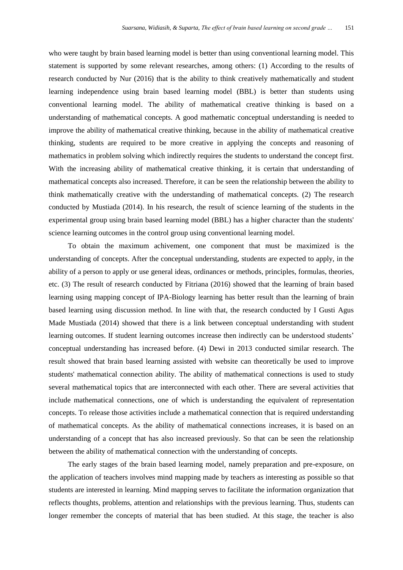who were taught by brain based learning model is better than using conventional learning model. This statement is supported by some relevant researches, among others: (1) According to the results of research conducted by Nur (2016) that is the ability to think creatively mathematically and student learning independence using brain based learning model (BBL) is better than students using conventional learning model. The ability of mathematical creative thinking is based on a understanding of mathematical concepts. A good mathematic conceptual understanding is needed to improve the ability of mathematical creative thinking, because in the ability of mathematical creative thinking, students are required to be more creative in applying the concepts and reasoning of mathematics in problem solving which indirectly requires the students to understand the concept first. With the increasing ability of mathematical creative thinking, it is certain that understanding of mathematical concepts also increased. Therefore, it can be seen the relationship between the ability to think mathematically creative with the understanding of mathematical concepts. (2) The research conducted by Mustiada (2014). In his research, the result of science learning of the students in the experimental group using brain based learning model (BBL) has a higher character than the students' science learning outcomes in the control group using conventional learning model.

To obtain the maximum achivement, one component that must be maximized is the understanding of concepts. After the conceptual understanding, students are expected to apply, in the ability of a person to apply or use general ideas, ordinances or methods, principles, formulas, theories, etc. (3) The result of research conducted by Fitriana (2016) showed that the learning of brain based learning using mapping concept of IPA-Biology learning has better result than the learning of brain based learning using discussion method. In line with that, the research conducted by I Gusti Agus Made Mustiada (2014) showed that there is a link between conceptual understanding with student learning outcomes. If student learning outcomes increase then indirectly can be understood students' conceptual understanding has increased before. (4) Dewi in 2013 conducted similar research. The result showed that brain based learning assisted with website can theoretically be used to improve students' mathematical connection ability. The ability of mathematical connections is used to study several mathematical topics that are interconnected with each other. There are several activities that include mathematical connections, one of which is understanding the equivalent of representation concepts. To release those activities include a mathematical connection that is required understanding of mathematical concepts. As the ability of mathematical connections increases, it is based on an understanding of a concept that has also increased previously. So that can be seen the relationship between the ability of mathematical connection with the understanding of concepts.

The early stages of the brain based learning model, namely preparation and pre-exposure, on the application of teachers involves mind mapping made by teachers as interesting as possible so that students are interested in learning. Mind mapping serves to facilitate the information organization that reflects thoughts, problems, attention and relationships with the previous learning. Thus, students can longer remember the concepts of material that has been studied. At this stage, the teacher is also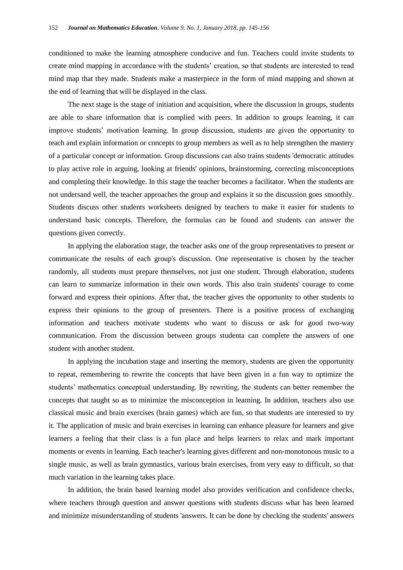conditioned to make the learning atmosphere conducive and fun. Teachers could invite students to create mind mapping in accordance with the students" creation, so that students are interested to read mind map that they made. Students make a masterpiece in the form of mind mapping and shown at the end of learning that will be displayed in the class.

The next stage is the stage of initiation and acquisition, where the discussion in groups, students are able to share information that is complied with peers. In addition to groups learning, it can improve students" motivation learning. In group discussion, students are given the opportunity to teach and explain information or concepts to group members as well as to help strengthen the mastery of a particular concept or information. Group discussions can also trains students 'democratic attitudes to play active role in arguing, looking at friends' opinions, brainstorming, correcting misconceptions and completing their knowledge. In this stage the teacher becomes a facilitator. When the students are not undersand well, the teacher approaches the group and explains it so the discussion goes smoothly. Students discuss other students worksheets designed by teachers to make it easier for students to understand basic concepts. Therefore, the formulas can be found and students can answer the questions given correctly.

In applying the elaboration stage, the teacher asks one of the group representatives to present or communicate the results of each group's discussion. One representative is chosen by the teacher randomly, all students must prepare themselves, not just one student. Through elaboration, students can learn to summarize information in their own words. This also train students' courage to come forward and express their opinions. After that, the teacher gives the opportunity to other students to express their opinions to the group of presenters. There is a positive process of exchanging information and teachers motivate students who want to discuss or ask for good two-way communication. From the discussion between groups studenta can complete the answers of one student with another student.

In applying the incubation stage and inserting the memory, students are given the opportunity to repeat, remembering to rewrite the concepts that have been given in a fun way to optimize the students" mathematics conceptual understanding. By rewriting, the students can better remember the concepts that taught so as to minimize the misconception in learning. In addition, teachers also use classical music and brain exercises (brain games) which are fun, so that students are interested to try it. The application of music and brain exercises in learning can enhance pleasure for learners and give learners a feeling that their class is a fun place and helps learners to relax and mark important moments or events in learning. Each teacher's learning gives different and non-monotonous music to a single music, as well as brain gymnastics, various brain exercises, from very easy to difficult, so that much variation in the learning takes place.

In addition, the brain based learning model also provides verification and confidence checks, where teachers through question and answer questions with students discuss what has been learned and minimize misunderstanding of students 'answers. It can be done by checking the students' answers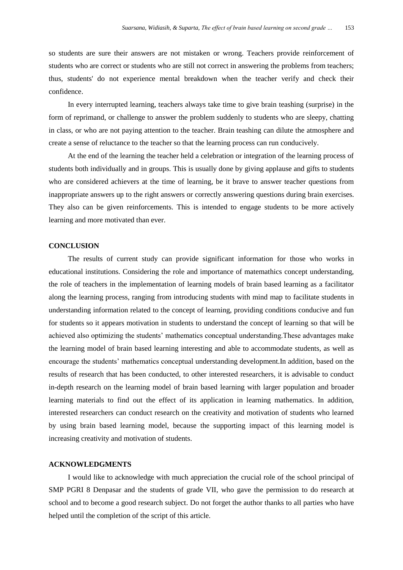so students are sure their answers are not mistaken or wrong. Teachers provide reinforcement of students who are correct or students who are still not correct in answering the problems from teachers; thus, students' do not experience mental breakdown when the teacher verify and check their confidence.

In every interrupted learning, teachers always take time to give brain teashing (surprise) in the form of reprimand, or challenge to answer the problem suddenly to students who are sleepy, chatting in class, or who are not paying attention to the teacher. Brain teashing can dilute the atmosphere and create a sense of reluctance to the teacher so that the learning process can run conducively.

At the end of the learning the teacher held a celebration or integration of the learning process of students both individually and in groups. This is usually done by giving applause and gifts to students who are considered achievers at the time of learning, be it brave to answer teacher questions from inappropriate answers up to the right answers or correctly answering questions during brain exercises. They also can be given reinforcements. This is intended to engage students to be more actively learning and more motivated than ever.

## **CONCLUSION**

The results of current study can provide significant information for those who works in educational institutions. Considering the role and importance of matemathics concept understanding, the role of teachers in the implementation of learning models of brain based learning as a facilitator along the learning process, ranging from introducing students with mind map to facilitate students in understanding information related to the concept of learning, providing conditions conducive and fun for students so it appears motivation in students to understand the concept of learning so that will be achieved also optimizing the students" mathematics conceptual understanding.These advantages make the learning model of brain based learning interesting and able to accommodate students, as well as encourage the students" mathematics conceptual understanding development.In addition, based on the results of research that has been conducted, to other interested researchers, it is advisable to conduct in-depth research on the learning model of brain based learning with larger population and broader learning materials to find out the effect of its application in learning mathematics. In addition, interested researchers can conduct research on the creativity and motivation of students who learned by using brain based learning model, because the supporting impact of this learning model is increasing creativity and motivation of students.

## **ACKNOWLEDGMENTS**

I would like to acknowledge with much appreciation the crucial role of the school principal of SMP PGRI 8 Denpasar and the students of grade VII, who gave the permission to do research at school and to become a good research subject. Do not forget the author thanks to all parties who have helped until the completion of the script of this article.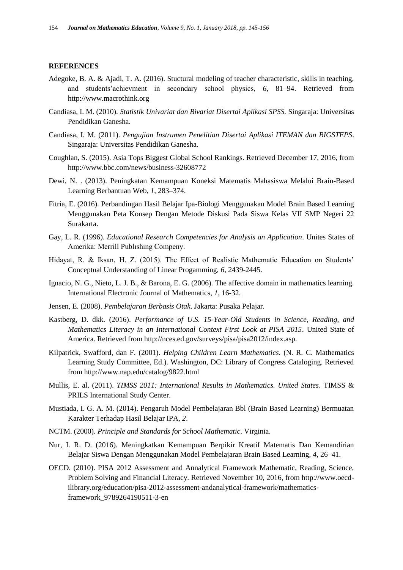#### **REFERENCES**

- Adegoke, B. A. & Ajadi, T. A. (2016). Stuctural modeling of teacher characteristic, skills in teaching, and students"achievment in secondary school physics, *6*, 81–94. Retrieved from http://www.macrothink.org
- Candiasa, I. M. (2010). *Statistik Univariat dan Bivariat Disertai Aplikasi SPSS.* Singaraja: Universitas Pendidikan Ganesha.
- Candiasa, I. M. (2011). *Pengujian Instrumen Penelitian Disertai Aplikasi ITEMAN dan BIGSTEPS*. Singaraja: Universitas Pendidikan Ganesha.
- Coughlan, S. (2015). Asia Tops Biggest Global School Rankings. Retrieved December 17, 2016, from http://www.bbc.com/news/business-32608772
- Dewi, N. . (2013). Peningkatan Kemampuan Koneksi Matematis Mahasiswa Melalui Brain-Based Learning Berbantuan Web, *1*, 283–374.
- Fitria, E. (2016). Perbandingan Hasil Belajar Ipa-Biologi Menggunakan Model Brain Based Learning Menggunakan Peta Konsep Dengan Metode Diskusi Pada Siswa Kelas VII SMP Negeri 22 Surakarta.
- Gay, L. R. (1996). *Educational Research Competencies for Analysis an Application*. Unites States of Amerika: Merrill Publıshıng Compeny.
- Hidayat, R. & Iksan, H. Z. (2015). The Effect of Realistic Mathematic Education on Students" Conceptual Understanding of Linear Progamming, *6*, 2439-2445.
- Ignacio, N. G., Nieto, L. J. B., & Barona, E. G. (2006). The affective domain in mathematics learning. International Electronic Journal of Mathematics, *1*, 16-32.
- Jensen, E. (2008). *Pembelajaran Berbasis Otak*. Jakarta: Pusaka Pelajar.
- Kastberg, D. dkk. (2016). *Performance of U.S. 15-Year-Old Students in Science, Reading, and Mathematics Literacy in an International Context First Look at PISA 2015*. United State of America. Retrieved from http://nces.ed.gov/surveys/pisa/pisa2012/index.asp.
- Kilpatrick, Swafford, dan F. (2001). *Helping Children Learn Mathematics*. (N. R. C. Mathematics Learning Study Committee, Ed.). Washington, DC: Library of Congress Cataloging. Retrieved from http://www.nap.edu/catalog/9822.html
- Mullis, E. al. (2011). *TIMSS 2011: International Results in Mathematics. United States*. TIMSS & PRILS International Study Center.
- Mustiada, I. G. A. M. (2014). Pengaruh Model Pembelajaran Bbl (Brain Based Learning) Bermuatan Karakter Terhadap Hasil Belajar IPA, *2*.
- NCTM. (2000). *Principle and Standards for School Mathematic*. Virginia.
- Nur, I. R. D. (2016). Meningkatkan Kemampuan Berpikir Kreatif Matematis Dan Kemandirian Belajar Siswa Dengan Menggunakan Model Pembelajaran Brain Based Learning, *4*, 26–41.
- OECD. (2010). PISA 2012 Assessment and Annalytical Framework Mathematic, Reading, Science, Problem Solving and Financial Literacy. Retrieved November 10, 2016, from http://www.oecdilibrary.org/education/pisa-2012-assessment-andanalytical-framework/mathematicsframework\_9789264190511-3-en